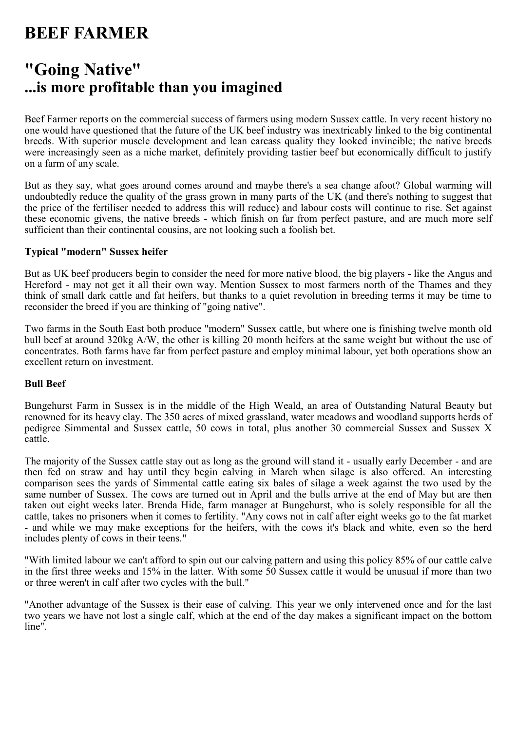# **BEEF FARMER**

## **"Going Native" ...is more profitable than you imagined**

Beef Farmer reports on the commercial success of farmers using modern Sussex cattle. In very recent history no one would have questioned that the future of the UK beef industry was inextricably linked to the big continental breeds. With superior muscle development and lean carcass quality they looked invincible; the native breeds were increasingly seen as a niche market, definitely providing tastier beef but economically difficult to justify on a farm of any scale.

But as they say, what goes around comes around and maybe there's a sea change afoot? Global warming will undoubtedly reduce the quality of the grass grown in many parts of the UK (and there's nothing to suggest that the price of the fertiliser needed to address this will reduce) and labour costs will continue to rise. Set against these economic givens, the native breeds - which finish on far from perfect pasture, and are much more self sufficient than their continental cousins, are not looking such a foolish bet.

### **Typical "modern" Sussex heifer**

But as UK beef producers begin to consider the need for more native blood, the big players - like the Angus and Hereford - may not get it all their own way. Mention Sussex to most farmers north of the Thames and they think of small dark cattle and fat heifers, but thanks to a quiet revolution in breeding terms it may be time to reconsider the breed if you are thinking of "going native".

Two farms in the South East both produce "modern" Sussex cattle, but where one is finishing twelve month old bull beef at around 320kg A/W, the other is killing 20 month heifers at the same weight but without the use of concentrates. Both farms have far from perfect pasture and employ minimal labour, yet both operations show an excellent return on investment.

## **Bull Beef**

Bungehurst Farm in Sussex is in the middle of the High Weald, an area of Outstanding Natural Beauty but renowned for its heavy clay. The 350 acres of mixed grassland, water meadows and woodland supports herds of pedigree Simmental and Sussex cattle, 50 cows in total, plus another 30 commercial Sussex and Sussex X cattle.

The majority of the Sussex cattle stay out as long as the ground will stand it - usually early December - and are then fed on straw and hay until they begin calving in March when silage is also offered. An interesting comparison sees the yards of Simmental cattle eating six bales of silage a week against the two used by the same number of Sussex. The cows are turned out in April and the bulls arrive at the end of May but are then taken out eight weeks later. Brenda Hide, farm manager at Bungehurst, who is solely responsible for all the cattle, takes no prisoners when it comes to fertility. "Any cows not in calf after eight weeks go to the fat market - and while we may make exceptions for the heifers, with the cows it's black and white, even so the herd includes plenty of cows in their teens."

"With limited labour we can't afford to spin out our calving pattern and using this policy 85% of our cattle calve in the first three weeks and 15% in the latter. With some 50 Sussex cattle it would be unusual if more than two or three weren't in calf after two cycles with the bull."

"Another advantage of the Sussex is their ease of calving. This year we only intervened once and for the last two years we have not lost a single calf, which at the end of the day makes a significant impact on the bottom line".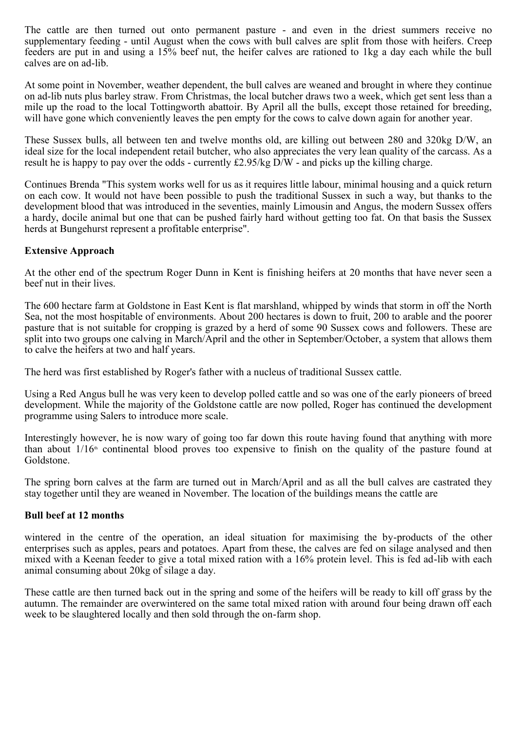The cattle are then turned out onto permanent pasture - and even in the driest summers receive no supplementary feeding - until August when the cows with bull calves are split from those with heifers. Creep feeders are put in and using a 15% beef nut, the heifer calves are rationed to 1kg a day each while the bull calves are on ad-lib.

At some point in November, weather dependent, the bull calves are weaned and brought in where they continue on ad-lib nuts plus barley straw. From Christmas, the local butcher draws two a week, which get sent less than a mile up the road to the local Tottingworth abattoir. By April all the bulls, except those retained for breeding, will have gone which conveniently leaves the pen empty for the cows to calve down again for another year.

These Sussex bulls, all between ten and twelve months old, are killing out between 280 and 320kg D/W, an ideal size for the local independent retail butcher, who also appreciates the very lean quality of the carcass. As a result he is happy to pay over the odds - currently £2.95/kg D/W - and picks up the killing charge.

Continues Brenda "This system works well for us as it requires little labour, minimal housing and a quick return on each cow. It would not have been possible to push the traditional Sussex in such a way, but thanks to the development blood that was introduced in the seventies, mainly Limousin and Angus, the modern Sussex offers a hardy, docile animal but one that can be pushed fairly hard without getting too fat. On that basis the Sussex herds at Bungehurst represent a profitable enterprise".

## **Extensive Approach**

At the other end of the spectrum Roger Dunn in Kent is finishing heifers at 20 months that have never seen a beef nut in their lives.

The 600 hectare farm at Goldstone in East Kent is flat marshland, whipped by winds that storm in off the North Sea, not the most hospitable of environments. About 200 hectares is down to fruit, 200 to arable and the poorer pasture that is not suitable for cropping is grazed by a herd of some 90 Sussex cows and followers. These are split into two groups one calving in March/April and the other in September/October, a system that allows them to calve the heifers at two and half years.

The herd was first established by Roger's father with a nucleus of traditional Sussex cattle.

Using a Red Angus bull he was very keen to develop polled cattle and so was one of the early pioneers of breed development. While the majority of the Goldstone cattle are now polled, Roger has continued the development programme using Salers to introduce more scale.

Interestingly however, he is now wary of going too far down this route having found that anything with more than about  $1/16<sup>th</sup>$  continental blood proves too expensive to finish on the quality of the pasture found at Goldstone.

The spring born calves at the farm are turned out in March/April and as all the bull calves are castrated they stay together until they are weaned in November. The location of the buildings means the cattle are

#### **Bull beef at 12 months**

wintered in the centre of the operation, an ideal situation for maximising the by-products of the other enterprises such as apples, pears and potatoes. Apart from these, the calves are fed on silage analysed and then mixed with a Keenan feeder to give a total mixed ration with a 16% protein level. This is fed ad-lib with each animal consuming about 20kg of silage a day.

These cattle are then turned back out in the spring and some of the heifers will be ready to kill off grass by the autumn. The remainder are overwintered on the same total mixed ration with around four being drawn off each week to be slaughtered locally and then sold through the on-farm shop.